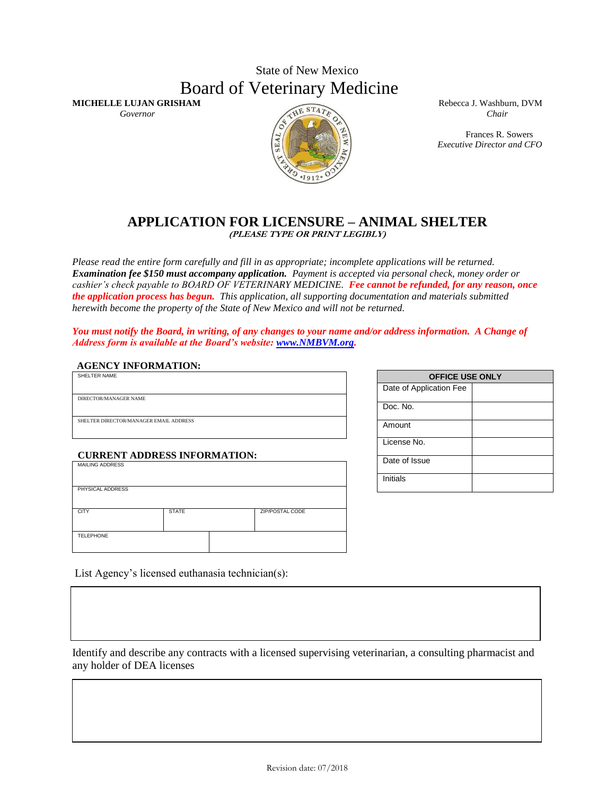## State of New Mexico Board of Veterinary Medicine

*Governor* Chair *Chair Chair Chair Chair Chair Chair Chair Chair Chair Chair Chair Chair Chair Chair Chair Chair Chair Chair Chair Chair Chair Chair Chair Chair Chair Chai* 

**MICHELLE LUJAN GRISHAM** Rebecca J. Washburn, DVM

Frances R. Sowers *Executive Director and CFO*

#### **APPLICATION FOR LICENSURE – ANIMAL SHELTER (PLEASE TYPE OR PRINT LEGIBLY)**

*Please read the entire form carefully and fill in as appropriate; incomplete applications will be returned. Examination fee \$150 must accompany application. Payment is accepted via personal check, money order or cashier's check payable to BOARD OF VETERINARY MEDICINE. Fee cannot be refunded, for any reason, once the application process has begun. This application, all supporting documentation and materials submitted herewith become the property of the State of New Mexico and will not be returned.* 

*You must notify the Board, in writing, of any changes to your name and/or address information. A Change of Address form is available at the Board's website: [www.NMBVM.org.](http://www.nmbvm.org/)*

#### **AGENCY INFORMATION:**

| SHELTER NAME                           |
|----------------------------------------|
|                                        |
|                                        |
| DIRECTOR/MANAGER NAME                  |
|                                        |
|                                        |
| SHELTER DIRECTOR/MANAGER EMAIL ADDRESS |
|                                        |
|                                        |

## **CURRENT ADDRESS INFORMATION:** MAILING ADDRESS

| PHYSICAL ADDRESS |              |                 |
|------------------|--------------|-----------------|
| <b>CITY</b>      | <b>STATE</b> | ZIP/POSTAL CODE |
| <b>TELEPHONE</b> |              |                 |

List Agency's licensed euthanasia technician(s):

Identify and describe any contracts with a licensed supervising veterinarian, a consulting pharmacist and any holder of DEA licenses

| <b>OFFICE USE ONLY</b>  |  |  |
|-------------------------|--|--|
| Date of Application Fee |  |  |
| Doc. No.                |  |  |
| Amount                  |  |  |
| License No.             |  |  |
| Date of Issue           |  |  |
| Initials                |  |  |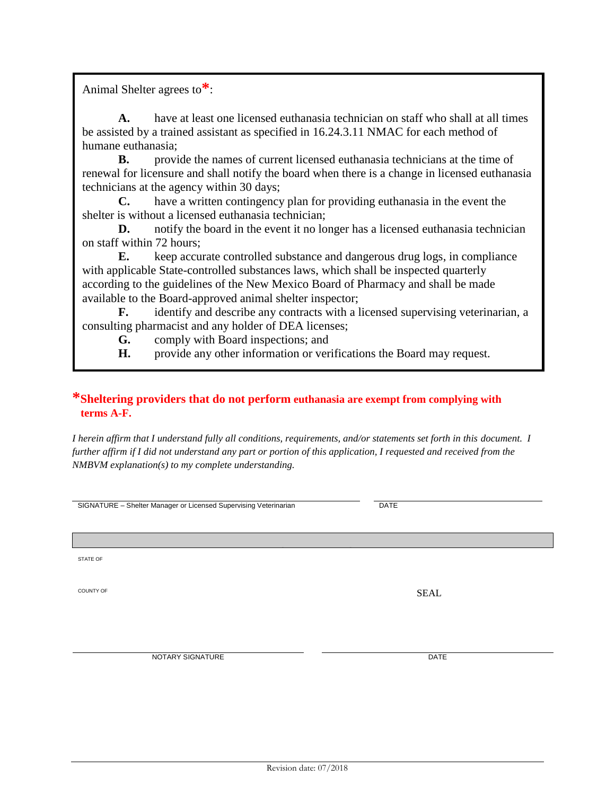Revision date: 07/2018

Animal Shelter agrees to**\***:

**A.** have at least one licensed euthanasia technician on staff who shall at all times be assisted by a trained assistant as specified in 16.24.3.11 NMAC for each method of humane euthanasia;

**B.** provide the names of current licensed euthanasia technicians at the time of renewal for licensure and shall notify the board when there is a change in licensed euthanasia technicians at the agency within 30 days;

**C.** have a written contingency plan for providing euthanasia in the event the shelter is without a licensed euthanasia technician;

**D.** notify the board in the event it no longer has a licensed euthanasia technician on staff within 72 hours;

**E.** keep accurate controlled substance and dangerous drug logs, in compliance with applicable State-controlled substances laws, which shall be inspected quarterly according to the guidelines of the New Mexico Board of Pharmacy and shall be made available to the Board-approved animal shelter inspector;

**F.** identify and describe any contracts with a licensed supervising veterinarian, a consulting pharmacist and any holder of DEA licenses;

**G.** comply with Board inspections; and

**H.** provide any other information or verifications the Board may request.

### **\*Sheltering providers that do not perform euthanasia are exempt from complying with terms A-F.**

*I herein affirm that I understand fully all conditions, requirements, and/or statements set forth in this document. I further affirm if I did not understand any part or portion of this application, I requested and received from the NMBVM explanation(s) to my complete understanding.*

**NOTARY PUBLIC**

SIGNATURE – Shelter Manager or Licensed Supervising Veterinarian DATE

STATE OF

COUNTY OF SEAL

NOTARY SIGNATURE DATE